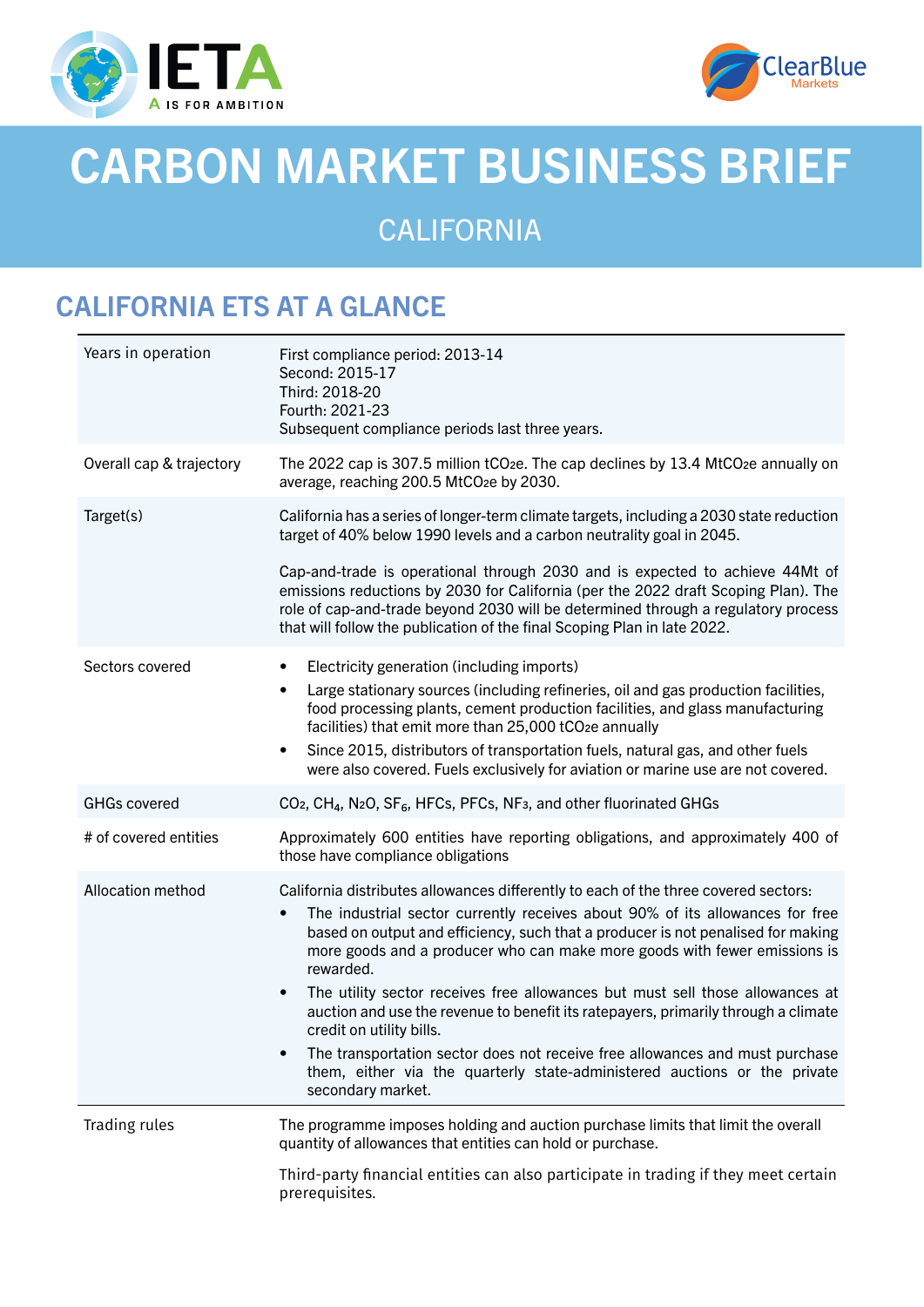



# CARBON MARKET BUSINESS BRIEF

CALIFORNIA

## CALIFORNIA ETS AT A GLANCE

| Years in operation       | First compliance period: 2013-14<br>Second: 2015-17<br>Third: 2018-20<br>Fourth: 2021-23<br>Subsequent compliance periods last three years.                                                                                                                                                                                                                                                                                                                                                                                                         |
|--------------------------|-----------------------------------------------------------------------------------------------------------------------------------------------------------------------------------------------------------------------------------------------------------------------------------------------------------------------------------------------------------------------------------------------------------------------------------------------------------------------------------------------------------------------------------------------------|
| Overall cap & trajectory | The 2022 cap is 307.5 million tCO <sub>2</sub> e. The cap declines by 13.4 MtCO <sub>2</sub> e annually on<br>average, reaching 200.5 MtCO <sub>2</sub> e by 2030.                                                                                                                                                                                                                                                                                                                                                                                  |
| Target(s)                | California has a series of longer-term climate targets, including a 2030 state reduction<br>target of 40% below 1990 levels and a carbon neutrality goal in 2045.                                                                                                                                                                                                                                                                                                                                                                                   |
|                          | Cap-and-trade is operational through 2030 and is expected to achieve 44Mt of<br>emissions reductions by 2030 for California (per the 2022 draft Scoping Plan). The<br>role of cap-and-trade beyond 2030 will be determined through a regulatory process<br>that will follow the publication of the final Scoping Plan in late 2022.                                                                                                                                                                                                                 |
| Sectors covered          | Electricity generation (including imports)<br>$\bullet$<br>Large stationary sources (including refineries, oil and gas production facilities,<br>$\bullet$<br>food processing plants, cement production facilities, and glass manufacturing<br>facilities) that emit more than 25,000 tCO2e annually<br>Since 2015, distributors of transportation fuels, natural gas, and other fuels<br>$\bullet$<br>were also covered. Fuels exclusively for aviation or marine use are not covered.                                                             |
| <b>GHGs covered</b>      | CO <sub>2</sub> , CH <sub>4</sub> , N <sub>2</sub> O, SF <sub>6</sub> , HFCs, PFCs, NF <sub>3</sub> , and other fluorinated GHGs                                                                                                                                                                                                                                                                                                                                                                                                                    |
| # of covered entities    | Approximately 600 entities have reporting obligations, and approximately 400 of<br>those have compliance obligations                                                                                                                                                                                                                                                                                                                                                                                                                                |
| Allocation method        | California distributes allowances differently to each of the three covered sectors:<br>The industrial sector currently receives about 90% of its allowances for free<br>$\bullet$<br>based on output and efficiency, such that a producer is not penalised for making<br>more goods and a producer who can make more goods with fewer emissions is<br>rewarded.<br>The utility sector receives free allowances but must sell those allowances at<br>$\bullet$<br>auction and use the revenue to benefit its ratepayers, primarily through a climate |
|                          | credit on utility bills.<br>The transportation sector does not receive free allowances and must purchase<br>$\bullet$<br>them, either via the quarterly state-administered auctions or the private<br>secondary market.                                                                                                                                                                                                                                                                                                                             |
| Trading rules            | The programme imposes holding and auction purchase limits that limit the overall<br>quantity of allowances that entities can hold or purchase.                                                                                                                                                                                                                                                                                                                                                                                                      |
|                          | Third-party financial entities can also participate in trading if they meet certain<br>prerequisites.                                                                                                                                                                                                                                                                                                                                                                                                                                               |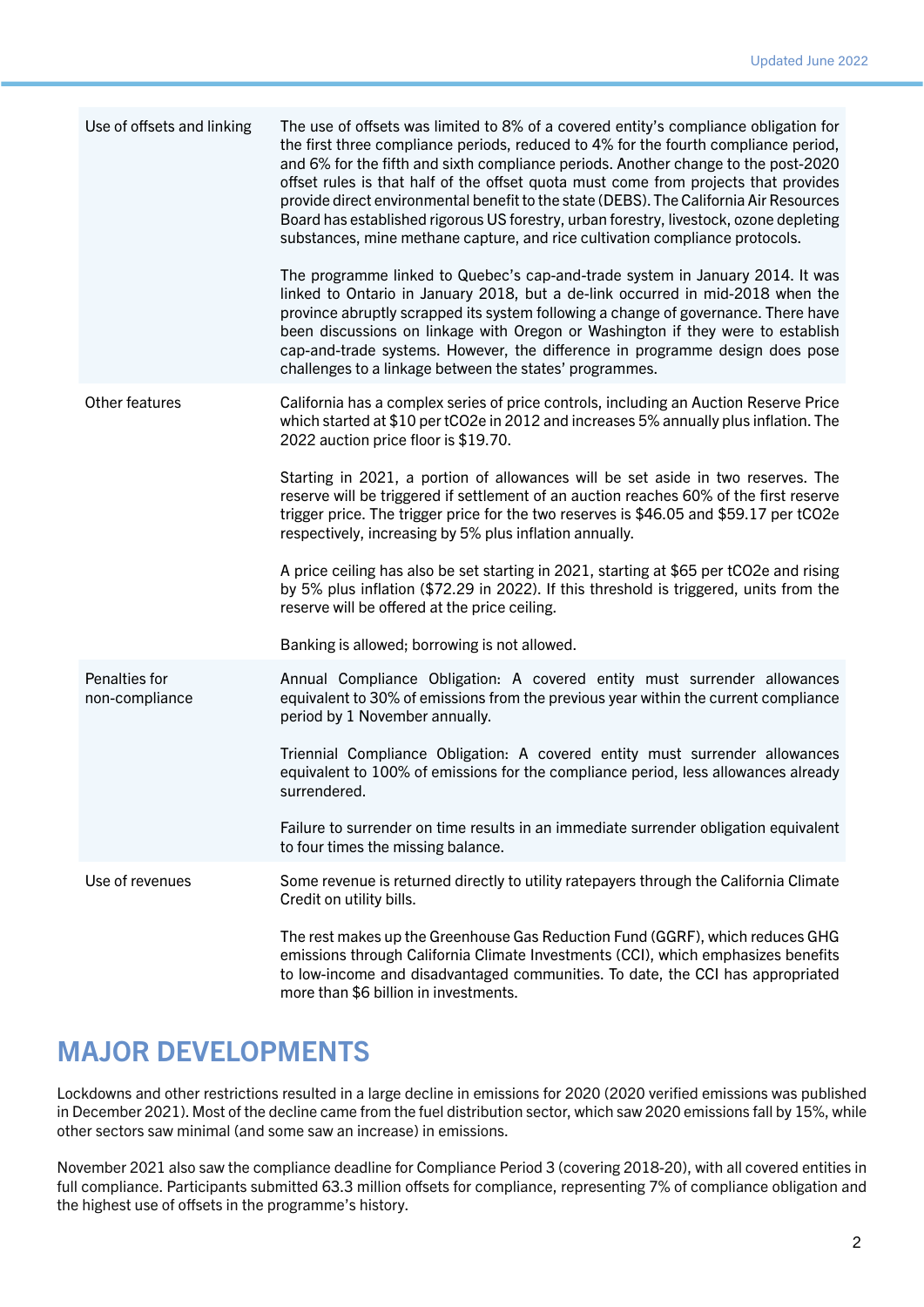| Use of offsets and linking      | The use of offsets was limited to 8% of a covered entity's compliance obligation for<br>the first three compliance periods, reduced to 4% for the fourth compliance period,<br>and 6% for the fifth and sixth compliance periods. Another change to the post-2020<br>offset rules is that half of the offset quota must come from projects that provides<br>provide direct environmental benefit to the state (DEBS). The California Air Resources<br>Board has established rigorous US forestry, urban forestry, livestock, ozone depleting<br>substances, mine methane capture, and rice cultivation compliance protocols. |
|---------------------------------|------------------------------------------------------------------------------------------------------------------------------------------------------------------------------------------------------------------------------------------------------------------------------------------------------------------------------------------------------------------------------------------------------------------------------------------------------------------------------------------------------------------------------------------------------------------------------------------------------------------------------|
|                                 | The programme linked to Quebec's cap-and-trade system in January 2014. It was<br>linked to Ontario in January 2018, but a de-link occurred in mid-2018 when the<br>province abruptly scrapped its system following a change of governance. There have<br>been discussions on linkage with Oregon or Washington if they were to establish<br>cap-and-trade systems. However, the difference in programme design does pose<br>challenges to a linkage between the states' programmes.                                                                                                                                          |
| Other features                  | California has a complex series of price controls, including an Auction Reserve Price<br>which started at \$10 per tCO2e in 2012 and increases 5% annually plus inflation. The<br>2022 auction price floor is \$19.70.                                                                                                                                                                                                                                                                                                                                                                                                       |
|                                 | Starting in 2021, a portion of allowances will be set aside in two reserves. The<br>reserve will be triggered if settlement of an auction reaches 60% of the first reserve<br>trigger price. The trigger price for the two reserves is \$46.05 and \$59.17 per tCO2e<br>respectively, increasing by 5% plus inflation annually.                                                                                                                                                                                                                                                                                              |
|                                 | A price ceiling has also be set starting in 2021, starting at \$65 per tCO2e and rising<br>by 5% plus inflation (\$72.29 in 2022). If this threshold is triggered, units from the<br>reserve will be offered at the price ceiling.                                                                                                                                                                                                                                                                                                                                                                                           |
|                                 | Banking is allowed; borrowing is not allowed.                                                                                                                                                                                                                                                                                                                                                                                                                                                                                                                                                                                |
| Penalties for<br>non-compliance | Annual Compliance Obligation: A covered entity must surrender allowances<br>equivalent to 30% of emissions from the previous year within the current compliance<br>period by 1 November annually.                                                                                                                                                                                                                                                                                                                                                                                                                            |
|                                 | Triennial Compliance Obligation: A covered entity must surrender allowances<br>equivalent to 100% of emissions for the compliance period, less allowances already<br>surrendered.                                                                                                                                                                                                                                                                                                                                                                                                                                            |
|                                 | Failure to surrender on time results in an immediate surrender obligation equivalent<br>to four times the missing balance.                                                                                                                                                                                                                                                                                                                                                                                                                                                                                                   |
| Use of revenues                 | Some revenue is returned directly to utility ratepayers through the California Climate<br>Credit on utility bills.                                                                                                                                                                                                                                                                                                                                                                                                                                                                                                           |
|                                 | The rest makes up the Greenhouse Gas Reduction Fund (GGRF), which reduces GHG<br>emissions through California Climate Investments (CCI), which emphasizes benefits<br>to low-income and disadvantaged communities. To date, the CCI has appropriated<br>more than \$6 billion in investments.                                                                                                                                                                                                                                                                                                                                |

#### MAJOR DEVELOPMENTS

Lockdowns and other restrictions resulted in a large decline in emissions for 2020 (2020 verified emissions was published in December 2021). Most of the decline came from the fuel distribution sector, which saw 2020 emissions fall by 15%, while other sectors saw minimal (and some saw an increase) in emissions.

November 2021 also saw the compliance deadline for Compliance Period 3 (covering 2018-20), with all covered entities in full compliance. Participants submitted 63.3 million offsets for compliance, representing 7% of compliance obligation and the highest use of offsets in the programme's history.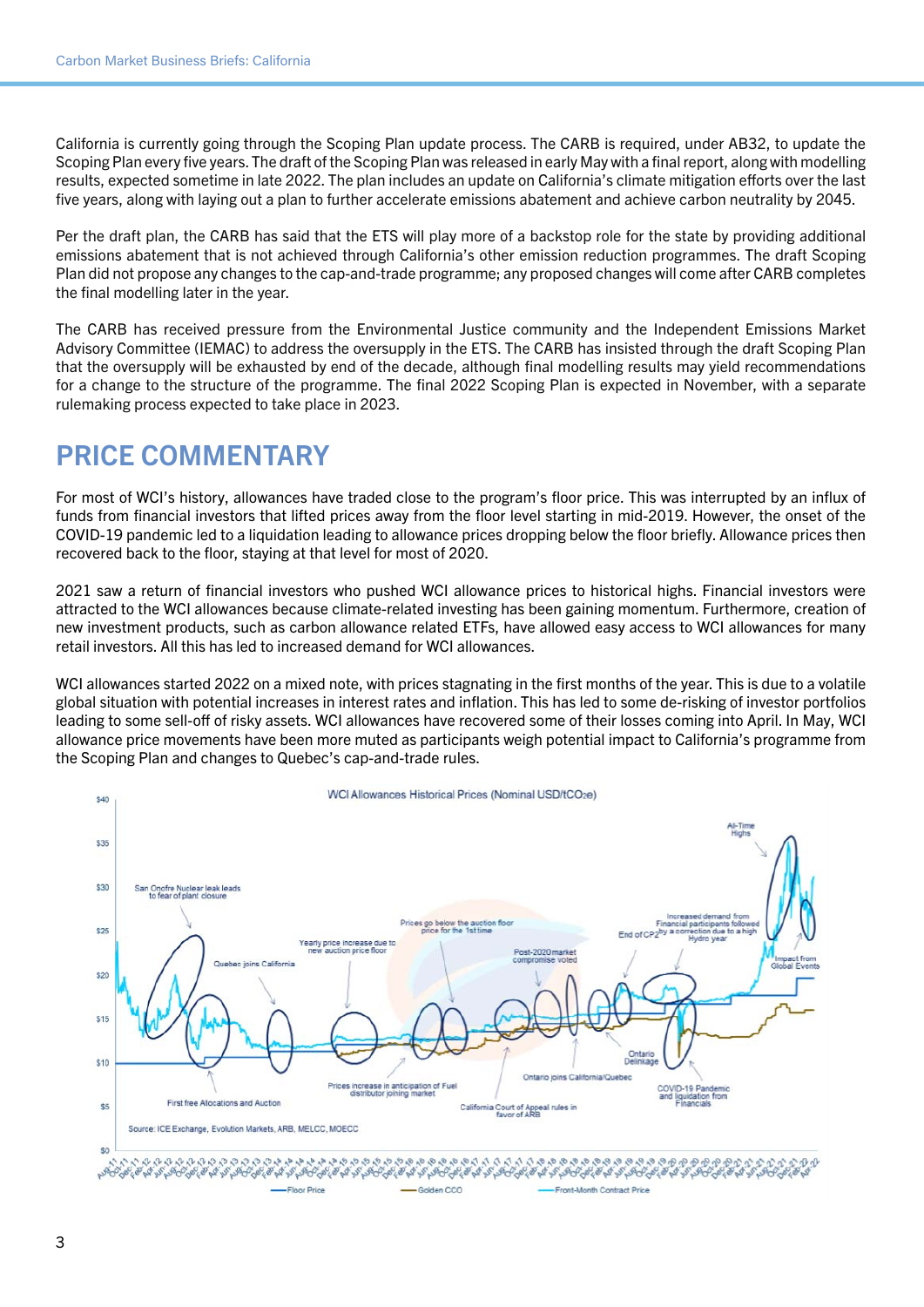California is currently going through the Scoping Plan update process. The CARB is required, under AB32, to update the Scoping Plan every five years. The draft of the Scoping Plan was released in early May with a final report, along with modelling results, expected sometime in late 2022. The plan includes an update on California's climate mitigation efforts over the last five years, along with laying out a plan to further accelerate emissions abatement and achieve carbon neutrality by 2045.

Per the draft plan, the CARB has said that the ETS will play more of a backstop role for the state by providing additional emissions abatement that is not achieved through California's other emission reduction programmes. The draft Scoping Plan did not propose any changes to the cap-and-trade programme; any proposed changes will come after CARB completes the final modelling later in the year.

The CARB has received pressure from the Environmental Justice community and the Independent Emissions Market Advisory Committee (IEMAC) to address the oversupply in the ETS. The CARB has insisted through the draft Scoping Plan that the oversupply will be exhausted by end of the decade, although final modelling results may yield recommendations for a change to the structure of the programme. The final 2022 Scoping Plan is expected in November, with a separate rulemaking process expected to take place in 2023.

#### PRICE COMMENTARY

For most of WCI's history, allowances have traded close to the program's floor price. This was interrupted by an influx of funds from financial investors that lifted prices away from the floor level starting in mid-2019. However, the onset of the COVID-19 pandemic led to a liquidation leading to allowance prices dropping below the floor briefly. Allowance prices then recovered back to the floor, staying at that level for most of 2020.

2021 saw a return of financial investors who pushed WCI allowance prices to historical highs. Financial investors were attracted to the WCI allowances because climate-related investing has been gaining momentum. Furthermore, creation of new investment products, such as carbon allowance related ETFs, have allowed easy access to WCI allowances for many retail investors. All this has led to increased demand for WCI allowances.

WCI allowances started 2022 on a mixed note, with prices stagnating in the first months of the year. This is due to a volatile global situation with potential increases in interest rates and inflation. This has led to some de-risking of investor portfolios leading to some sell-off of risky assets. WCI allowances have recovered some of their losses coming into April. In May, WCI allowance price movements have been more muted as participants weigh potential impact to California's programme from the Scoping Plan and changes to Quebec's cap-and-trade rules.